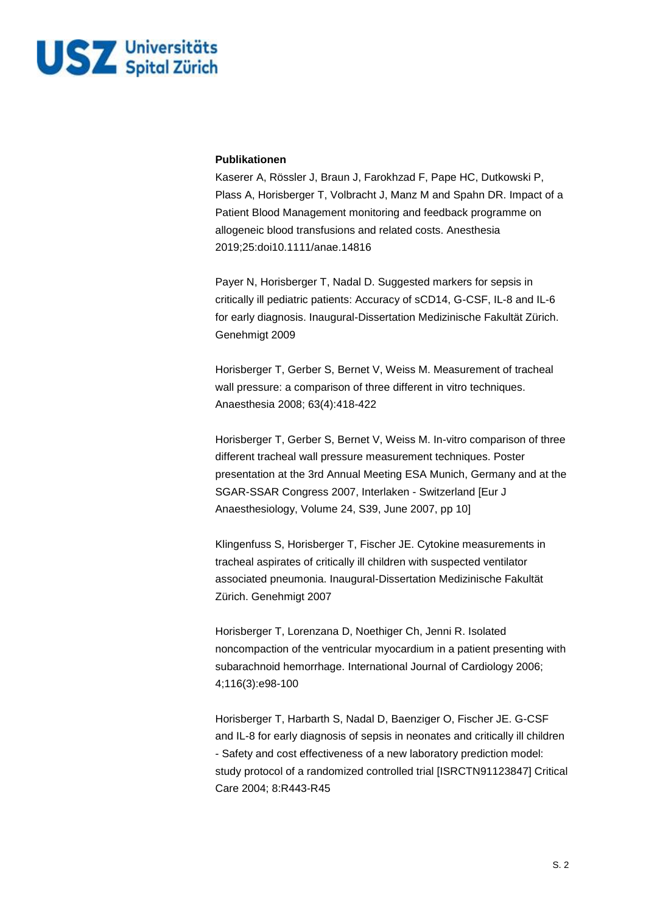

## **Publikationen**

Kaserer A, Rössler J, Braun J, Farokhzad F, Pape HC, Dutkowski P, Plass A, Horisberger T, Volbracht J, Manz M and Spahn DR. Impact of a Patient Blood Management monitoring and feedback programme on allogeneic blood transfusions and related costs. Anesthesia 2019;25:doi10.1111/anae.14816

Payer N, Horisberger T, Nadal D. Suggested markers for sepsis in critically ill pediatric patients: Accuracy of sCD14, G-CSF, IL-8 and IL-6 for early diagnosis. Inaugural-Dissertation Medizinische Fakultät Zürich. Genehmigt 2009

Horisberger T, Gerber S, Bernet V, Weiss M. Measurement of tracheal wall pressure: a comparison of three different in vitro techniques. Anaesthesia 2008; 63(4):418-422

Horisberger T, Gerber S, Bernet V, Weiss M. In-vitro comparison of three different tracheal wall pressure measurement techniques. Poster presentation at the 3rd Annual Meeting ESA Munich, Germany and at the SGAR-SSAR Congress 2007, Interlaken - Switzerland [Eur J Anaesthesiology, Volume 24, S39, June 2007, pp 10]

Klingenfuss S, Horisberger T, Fischer JE. Cytokine measurements in tracheal aspirates of critically ill children with suspected ventilator associated pneumonia. Inaugural-Dissertation Medizinische Fakultät Zürich. Genehmigt 2007

Horisberger T, Lorenzana D, Noethiger Ch, Jenni R. Isolated noncompaction of the ventricular myocardium in a patient presenting with subarachnoid hemorrhage. International Journal of Cardiology 2006; 4;116(3):e98-100

Horisberger T, Harbarth S, Nadal D, Baenziger O, Fischer JE. G-CSF and IL-8 for early diagnosis of sepsis in neonates and critically ill children - Safety and cost effectiveness of a new laboratory prediction model: study protocol of a randomized controlled trial [ISRCTN91123847] Critical Care 2004; 8:R443-R45